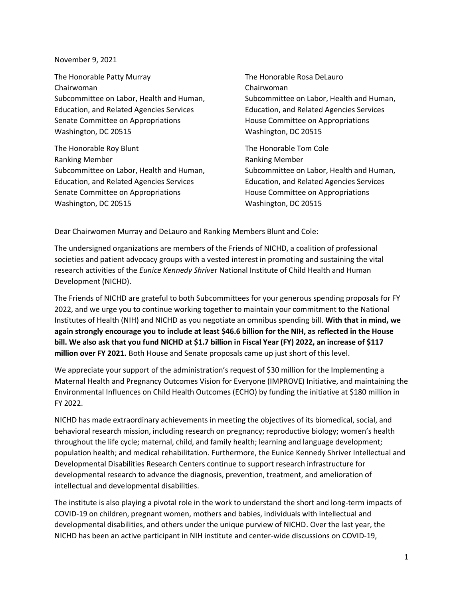November 9, 2021

The Honorable Patty Murray The Honorable Rosa DeLauro Chairwoman Chairwoman Subcommittee on Labor, Health and Human, Subcommittee on Labor, Health and Human, Education, and Related Agencies Services Education, and Related Agencies Services Senate Committee on Appropriations **House Committee on Appropriations** Washington, DC 20515 Washington, DC 20515

The Honorable Roy Blunt The Honorable Tom Cole Ranking Member Ranking Member Subcommittee on Labor, Health and Human, Subcommittee on Labor, Health and Human, Education, and Related Agencies Services Education, and Related Agencies Services Senate Committee on Appropriations The Music Committee on Appropriations Washington, DC 20515 Washington, DC 20515

Dear Chairwomen Murray and DeLauro and Ranking Members Blunt and Cole:

The undersigned organizations are members of the Friends of NICHD, a coalition of professional societies and patient advocacy groups with a vested interest in promoting and sustaining the vital research activities of the *Eunice Kennedy Shrive*r National Institute of Child Health and Human Development (NICHD).

The Friends of NICHD are grateful to both Subcommittees for your generous spending proposals for FY 2022, and we urge you to continue working together to maintain your commitment to the National Institutes of Health (NIH) and NICHD as you negotiate an omnibus spending bill. **With that in mind, we again strongly encourage you to include at least \$46.6 billion for the NIH, as reflected in the House bill. We also ask that you fund NICHD at \$1.7 billion in Fiscal Year (FY) 2022, an increase of \$117 million over FY 2021.** Both House and Senate proposals came up just short of this level.

We appreciate your support of the administration's request of \$30 million for the Implementing a Maternal Health and Pregnancy Outcomes Vision for Everyone (IMPROVE) Initiative, and maintaining the Environmental Influences on Child Health Outcomes (ECHO) by funding the initiative at \$180 million in FY 2022.

NICHD has made extraordinary achievements in meeting the objectives of its biomedical, social, and behavioral research mission, including research on pregnancy; reproductive biology; women's health throughout the life cycle; maternal, child, and family health; learning and language development; population health; and medical rehabilitation. Furthermore, the Eunice Kennedy Shriver Intellectual and Developmental Disabilities Research Centers continue to support research infrastructure for developmental research to advance the diagnosis, prevention, treatment, and amelioration of intellectual and developmental disabilities.

The institute is also playing a pivotal role in the work to understand the short and long-term impacts of COVID-19 on children, pregnant women, mothers and babies, individuals with intellectual and developmental disabilities, and others under the unique purview of NICHD. Over the last year, the NICHD has been an active participant in NIH institute and center-wide discussions on COVID-19,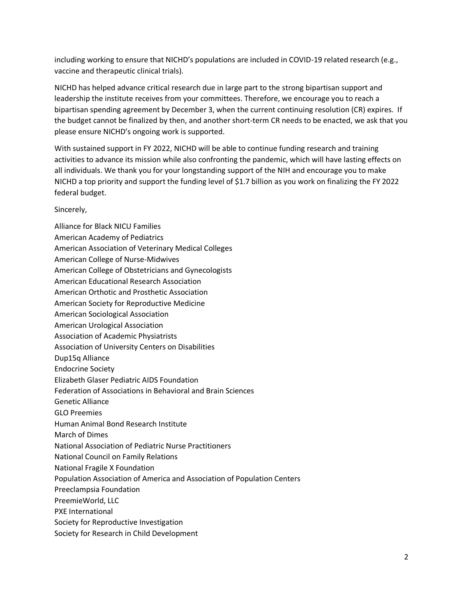including working to ensure that NICHD's populations are included in COVID-19 related research (e.g., vaccine and therapeutic clinical trials).

NICHD has helped advance critical research due in large part to the strong bipartisan support and leadership the institute receives from your committees. Therefore, we encourage you to reach a bipartisan spending agreement by December 3, when the current continuing resolution (CR) expires. If the budget cannot be finalized by then, and another short-term CR needs to be enacted, we ask that you please ensure NICHD's ongoing work is supported.

With sustained support in FY 2022, NICHD will be able to continue funding research and training activities to advance its mission while also confronting the pandemic, which will have lasting effects on all individuals. We thank you for your longstanding support of the NIH and encourage you to make NICHD a top priority and support the funding level of \$1.7 billion as you work on finalizing the FY 2022 federal budget.

## Sincerely,

Alliance for Black NICU Families American Academy of Pediatrics American Association of Veterinary Medical Colleges American College of Nurse-Midwives American College of Obstetricians and Gynecologists American Educational Research Association American Orthotic and Prosthetic Association American Society for Reproductive Medicine American Sociological Association American Urological Association Association of Academic Physiatrists Association of University Centers on Disabilities Dup15q Alliance Endocrine Society Elizabeth Glaser Pediatric AIDS Foundation Federation of Associations in Behavioral and Brain Sciences Genetic Alliance GLO Preemies Human Animal Bond Research Institute March of Dimes National Association of Pediatric Nurse Practitioners National Council on Family Relations National Fragile X Foundation Population Association of America and Association of Population Centers Preeclampsia Foundation PreemieWorld, LLC PXE International Society for Reproductive Investigation Society for Research in Child Development